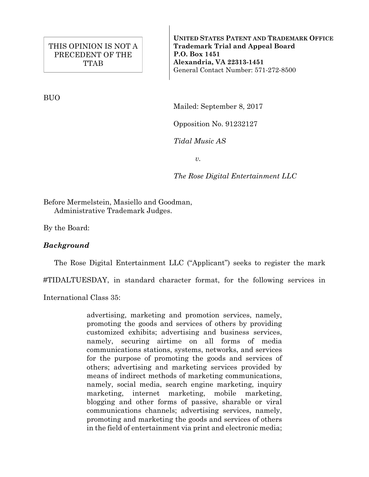BUO

**UNITED STATES PATENT AND TRADEMARK OFFICE Trademark Trial and Appeal Board P.O. Box 1451 Alexandria, VA 22313-1451**  General Contact Number: 571-272-8500

Mailed: September 8, 2017

Opposition No. 91232127

*Tidal Music AS* 

*v.* 

*The Rose Digital Entertainment LLC* 

Before Mermelstein, Masiello and Goodman, Administrative Trademark Judges.

By the Board:

## *Background*

The Rose Digital Entertainment LLC ("Applicant") seeks to register the mark

#TIDALTUESDAY, in standard character format, for the following services in

International Class 35:

advertising, marketing and promotion services, namely, promoting the goods and services of others by providing customized exhibits; advertising and business services, namely, securing airtime on all forms of media communications stations, systems, networks, and services for the purpose of promoting the goods and services of others; advertising and marketing services provided by means of indirect methods of marketing communications, namely, social media, search engine marketing, inquiry marketing, internet marketing, mobile marketing, blogging and other forms of passive, sharable or viral communications channels; advertising services, namely, promoting and marketing the goods and services of others in the field of entertainment via print and electronic media;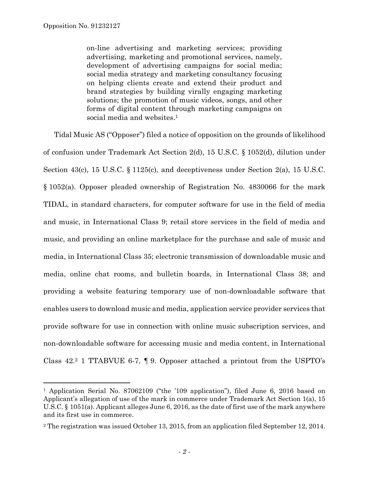on-line advertising and marketing services; providing advertising, marketing and promotional services, namely, development of advertising campaigns for social media; social media strategy and marketing consultancy focusing on helping clients create and extend their product and brand strategies by building virally engaging marketing solutions; the promotion of music videos, songs, and other forms of digital content through marketing campaigns on social media and websites.<sup>1</sup>

 Tidal Music AS ("Opposer") filed a notice of opposition on the grounds of likelihood of confusion under Trademark Act Section 2(d), 15 U.S.C. § 1052(d), dilution under Section 43(c), 15 U.S.C. § 1125(c), and deceptiveness under Section 2(a), 15 U.S.C. § 1052(a). Opposer pleaded ownership of Registration No. 4830066 for the mark TIDAL, in standard characters, for computer software for use in the field of media and music, in International Class 9; retail store services in the field of media and music, and providing an online marketplace for the purchase and sale of music and media, in International Class 35; electronic transmission of downloadable music and media, online chat rooms, and bulletin boards, in International Class 38; and providing a website featuring temporary use of non-downloadable software that enables users to download music and media, application service provider services that provide software for use in connection with online music subscription services, and non-downloadable software for accessing music and media content, in International Class 42.2 1 TTABVUE 6-7, ¶ 9. Opposer attached a printout from the USPTO's

<sup>&</sup>lt;sup>1</sup> Application Serial No. 87062109 ("the '109 application"), filed June 6, 2016 based on Applicant's allegation of use of the mark in commerce under Trademark Act Section 1(a), 15 U.S.C. § 1051(a). Applicant alleges June 6, 2016, as the date of first use of the mark anywhere and its first use in commerce.

<sup>2</sup> The registration was issued October 13, 2015, from an application filed September 12, 2014.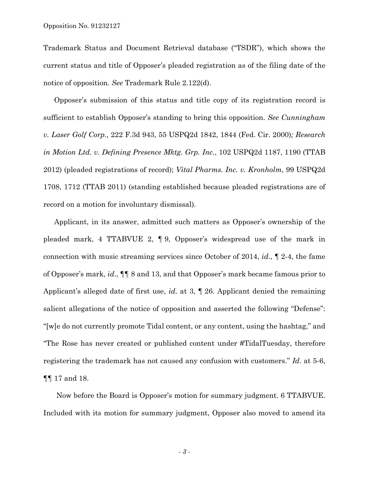Trademark Status and Document Retrieval database ("TSDR"), which shows the current status and title of Opposer's pleaded registration as of the filing date of the notice of opposition. *See* Trademark Rule 2.122(d).

 Opposer's submission of this status and title copy of its registration record is sufficient to establish Opposer's standing to bring this opposition. *See Cunningham v. Laser Golf Corp.,* 222 F.3d 943, 55 USPQ2d 1842, 1844 (Fed. Cir. 2000)*; Research in Motion Ltd. v. Defining Presence Mktg. Grp. Inc.*, 102 USPQ2d 1187, 1190 (TTAB 2012) (pleaded registrations of record); *Vital Pharms. Inc. v. Kronholm*, 99 USPQ2d 1708, 1712 (TTAB 2011) (standing established because pleaded registrations are of record on a motion for involuntary dismissal).

 Applicant, in its answer, admitted such matters as Opposer's ownership of the pleaded mark, 4 TTABVUE 2, ¶ 9, Opposer's widespread use of the mark in connection with music streaming services since October of 2014, *id*., ¶ 2-4, the fame of Opposer's mark, *id*., ¶¶ 8 and 13, and that Opposer's mark became famous prior to Applicant's alleged date of first use, *id*. at 3, ¶ 26. Applicant denied the remaining salient allegations of the notice of opposition and asserted the following "Defense": "[w]e do not currently promote Tidal content, or any content, using the hashtag," and "The Rose has never created or published content under #TidalTuesday, therefore registering the trademark has not caused any confusion with customers." *Id*. at 5-6, ¶¶ 17 and 18.

Now before the Board is Opposer's motion for summary judgment. 6 TTABVUE. Included with its motion for summary judgment, Opposer also moved to amend its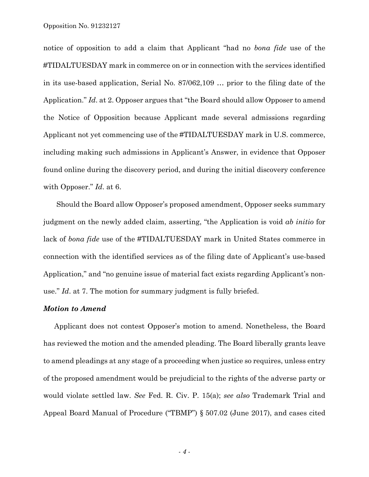Opposition No. 91232127

notice of opposition to add a claim that Applicant "had no *bona fide* use of the #TIDALTUESDAY mark in commerce on or in connection with the services identified in its use-based application, Serial No. 87/062,109 … prior to the filing date of the Application." *Id*. at 2. Opposer argues that "the Board should allow Opposer to amend the Notice of Opposition because Applicant made several admissions regarding Applicant not yet commencing use of the #TIDALTUESDAY mark in U.S. commerce, including making such admissions in Applicant's Answer, in evidence that Opposer found online during the discovery period, and during the initial discovery conference with Opposer." *Id*. at 6.

Should the Board allow Opposer's proposed amendment, Opposer seeks summary judgment on the newly added claim, asserting, "the Application is void *ab initio* for lack of *bona fide* use of the #TIDALTUESDAY mark in United States commerce in connection with the identified services as of the filing date of Applicant's use-based Application," and "no genuine issue of material fact exists regarding Applicant's nonuse." *Id*. at 7. The motion for summary judgment is fully briefed.

## *Motion to Amend*

 Applicant does not contest Opposer's motion to amend. Nonetheless, the Board has reviewed the motion and the amended pleading. The Board liberally grants leave to amend pleadings at any stage of a proceeding when justice so requires, unless entry of the proposed amendment would be prejudicial to the rights of the adverse party or would violate settled law. *See* Fed. R. Civ. P. 15(a); *see also* Trademark Trial and Appeal Board Manual of Procedure ("TBMP") § 507.02 (June 2017), and cases cited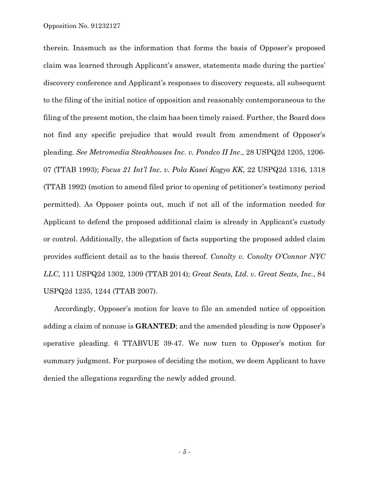therein. Inasmuch as the information that forms the basis of Opposer's proposed claim was learned through Applicant's answer, statements made during the parties' discovery conference and Applicant's responses to discovery requests, all subsequent to the filing of the initial notice of opposition and reasonably contemporaneous to the filing of the present motion, the claim has been timely raised. Further, the Board does not find any specific prejudice that would result from amendment of Opposer's pleading. *See Metromedia Steakhouses Inc. v. Pondco II Inc.,* 28 USPQ2d 1205, 1206- 07 (TTAB 1993); *Focus 21 Int'l Inc. v. Pola Kasei Kogyo KK*, 22 USPQ2d 1316, 1318 (TTAB 1992) (motion to amend filed prior to opening of petitioner's testimony period permitted). As Opposer points out, much if not all of the information needed for Applicant to defend the proposed additional claim is already in Applicant's custody or control. Additionally, the allegation of facts supporting the proposed added claim provides sufficient detail as to the basis thereof. *Conolty v. Conolty O'Connor NYC LLC*, 111 USPQ2d 1302, 1309 (TTAB 2014); *Great Seats, Ltd. v. Great Seats, Inc.*, 84 USPQ2d 1235, 1244 (TTAB 2007).

 Accordingly, Opposer's motion for leave to file an amended notice of opposition adding a claim of nonuse is **GRANTED**; and the amended pleading is now Opposer's operative pleading. 6 TTABVUE 39-47. We now turn to Opposer's motion for summary judgment. For purposes of deciding the motion, we deem Applicant to have denied the allegations regarding the newly added ground.

*- 5 -*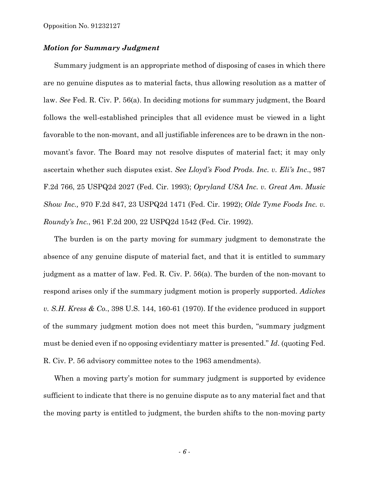## *Motion for Summary Judgment*

Summary judgment is an appropriate method of disposing of cases in which there are no genuine disputes as to material facts, thus allowing resolution as a matter of law. *See* Fed. R. Civ. P. 56(a). In deciding motions for summary judgment, the Board follows the well-established principles that all evidence must be viewed in a light favorable to the non-movant, and all justifiable inferences are to be drawn in the nonmovant's favor. The Board may not resolve disputes of material fact; it may only ascertain whether such disputes exist. *See Lloyd's Food Prods. Inc. v. Eli's Inc*., 987 F.2d 766, 25 USPQ2d 2027 (Fed. Cir. 1993); *Opryland USA Inc. v. Great Am. Music Show Inc.,* 970 F.2d 847, 23 USPQ2d 1471 (Fed. Cir. 1992); *Olde Tyme Foods Inc. v. Roundy's Inc.*, 961 F.2d 200, 22 USPQ2d 1542 (Fed. Cir. 1992).

 The burden is on the party moving for summary judgment to demonstrate the absence of any genuine dispute of material fact, and that it is entitled to summary judgment as a matter of law. Fed. R. Civ. P. 56(a). The burden of the non-movant to respond arises only if the summary judgment motion is properly supported. *Adickes v. S.H. Kress & Co.*, 398 U.S. 144, 160-61 (1970). If the evidence produced in support of the summary judgment motion does not meet this burden, "summary judgment must be denied even if no opposing evidentiary matter is presented." *Id*. (quoting Fed. R. Civ. P. 56 advisory committee notes to the 1963 amendments).

 When a moving party's motion for summary judgment is supported by evidence sufficient to indicate that there is no genuine dispute as to any material fact and that the moving party is entitled to judgment, the burden shifts to the non-moving party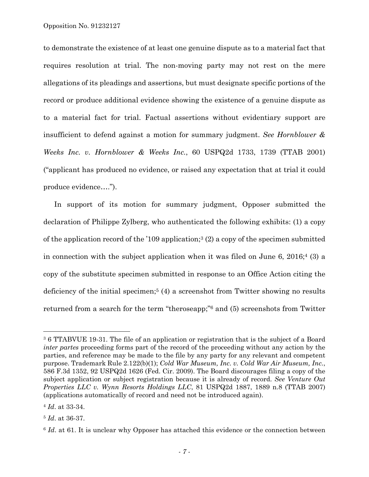to demonstrate the existence of at least one genuine dispute as to a material fact that requires resolution at trial. The non-moving party may not rest on the mere allegations of its pleadings and assertions, but must designate specific portions of the record or produce additional evidence showing the existence of a genuine dispute as to a material fact for trial. Factual assertions without evidentiary support are insufficient to defend against a motion for summary judgment. *See Hornblower & Weeks Inc. v. Hornblower & Weeks Inc.*, 60 USPQ2d 1733, 1739 (TTAB 2001) ("applicant has produced no evidence, or raised any expectation that at trial it could produce evidence….").

 In support of its motion for summary judgment, Opposer submitted the declaration of Philippe Zylberg, who authenticated the following exhibits: (1) a copy of the application record of the '109 application;<sup>3</sup> (2) a copy of the specimen submitted in connection with the subject application when it was filed on June 6,  $2016;4$  (3) a copy of the substitute specimen submitted in response to an Office Action citing the deficiency of the initial specimen;<sup>5</sup> (4) a screenshot from Twitter showing no results returned from a search for the term "theroseapp;"6 and (5) screenshots from Twitter

÷.

<sup>3 6</sup> TTABVUE 19-31. The file of an application or registration that is the subject of a Board *inter partes* proceeding forms part of the record of the proceeding without any action by the parties, and reference may be made to the file by any party for any relevant and competent purpose. Trademark Rule 2.122(b)(1); *Cold War Museum, Inc. v. Cold War Air Museum, Inc.*, 586 F.3d 1352, 92 USPQ2d 1626 (Fed. Cir. 2009). The Board discourages filing a copy of the subject application or subject registration because it is already of record. *See Venture Out Properties LLC v. Wynn Resorts Holdings LLC*, 81 USPQ2d 1887, 1889 n.8 (TTAB 2007) (applications automatically of record and need not be introduced again).

<sup>4</sup> *Id*. at 33-34.

<sup>5</sup> *Id*. at 36-37.

<sup>&</sup>lt;sup>6</sup> *Id.* at 61. It is unclear why Opposer has attached this evidence or the connection between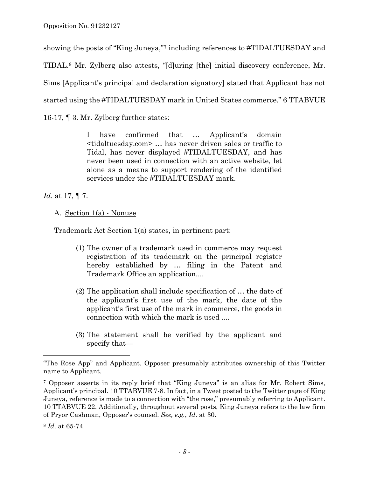showing the posts of "King Juneya,"7 including references to #TIDALTUESDAY and TIDAL.8 Mr. Zylberg also attests, "[d]uring [the] initial discovery conference, Mr. Sims [Applicant's principal and declaration signatory] stated that Applicant has not started using the #TIDALTUESDAY mark in United States commerce." 6 TTABVUE

16-17, ¶ 3. Mr. Zylberg further states:

I have confirmed that … Applicant's domain <tidaltuesday.com> … has never driven sales or traffic to Tidal, has never displayed #TIDALTUESDAY, and has never been used in connection with an active website, let alone as a means to support rendering of the identified services under the #TIDALTUESDAY mark.

*Id*. at 17, ¶ 7.

A. Section 1(a) - Nonuse

Trademark Act Section 1(a) states, in pertinent part:

- (1) The owner of a trademark used in commerce may request registration of its trademark on the principal register hereby established by … filing in the Patent and Trademark Office an application....
- (2) The application shall include specification of … the date of the applicant's first use of the mark, the date of the applicant's first use of the mark in commerce, the goods in connection with which the mark is used ....
- (3) The statement shall be verified by the applicant and specify that—

<sup>&</sup>quot;The Rose App" and Applicant. Opposer presumably attributes ownership of this Twitter name to Applicant.

<sup>7</sup> Opposer asserts in its reply brief that "King Juneya" is an alias for Mr. Robert Sims, Applicant's principal. 10 TTABVUE 7-8. In fact, in a Tweet posted to the Twitter page of King Juneya, reference is made to a connection with "the rose," presumably referring to Applicant. 10 TTABVUE 22. Additionally, throughout several posts, King Juneya refers to the law firm of Pryor Cashman, Opposer's counsel. *See, e.g.*, *Id*. at 30.

<sup>8</sup> *Id*. at 65-74.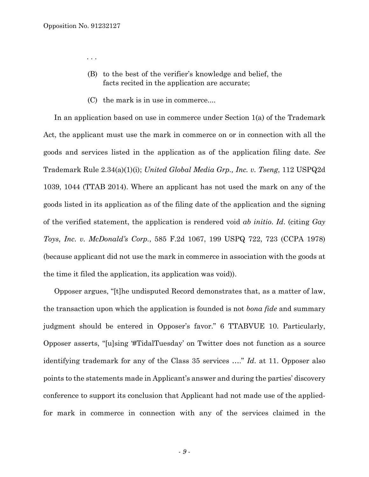. . .

- (B) to the best of the verifier's knowledge and belief, the facts recited in the application are accurate;
- (C) the mark is in use in commerce....

 In an application based on use in commerce under Section 1(a) of the Trademark Act, the applicant must use the mark in commerce on or in connection with all the goods and services listed in the application as of the application filing date. *See* Trademark Rule 2.34(a)(1)(i); *United Global Media Grp., Inc. v. Tseng*, 112 USPQ2d 1039, 1044 (TTAB 2014). Where an applicant has not used the mark on any of the goods listed in its application as of the filing date of the application and the signing of the verified statement, the application is rendered void *ab initio*. *Id*. (citing *Gay Toys, Inc. v. McDonald's Corp.*, 585 F.2d 1067, 199 USPQ 722, 723 (CCPA 1978) (because applicant did not use the mark in commerce in association with the goods at the time it filed the application, its application was void)).

 Opposer argues, "[t]he undisputed Record demonstrates that, as a matter of law, the transaction upon which the application is founded is not *bona fide* and summary judgment should be entered in Opposer's favor." 6 TTABVUE 10. Particularly, Opposer asserts, "[u]sing '#TidalTuesday' on Twitter does not function as a source identifying trademark for any of the Class 35 services …." *Id*. at 11. Opposer also points to the statements made in Applicant's answer and during the parties' discovery conference to support its conclusion that Applicant had not made use of the appliedfor mark in commerce in connection with any of the services claimed in the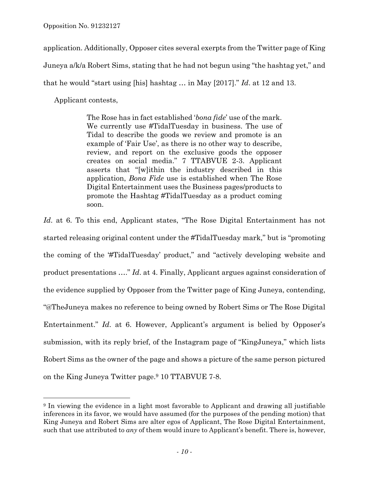application. Additionally, Opposer cites several exerpts from the Twitter page of King Juneya a/k/a Robert Sims, stating that he had not begun using "the hashtag yet," and that he would "start using [his] hashtag … in May [2017]." *Id*. at 12 and 13.

Applicant contests,

—<br>—

The Rose has in fact established '*bona fide*' use of the mark. We currently use #TidalTuesday in business. The use of Tidal to describe the goods we review and promote is an example of 'Fair Use', as there is no other way to describe, review, and report on the exclusive goods the opposer creates on social media." 7 TTABVUE 2-3. Applicant asserts that "[w]ithin the industry described in this application, *Bona Fide* use is established when The Rose Digital Entertainment uses the Business pages/products to promote the Hashtag #TidalTuesday as a product coming soon.

*Id*. at 6. To this end, Applicant states, "The Rose Digital Entertainment has not started releasing original content under the #TidalTuesday mark," but is "promoting the coming of the '#TidalTuesday' product," and "actively developing website and product presentations …." *Id*. at 4. Finally, Applicant argues against consideration of the evidence supplied by Opposer from the Twitter page of King Juneya, contending, "@TheJuneya makes no reference to being owned by Robert Sims or The Rose Digital Entertainment." *Id*. at 6. However, Applicant's argument is belied by Opposer's submission, with its reply brief, of the Instagram page of "KingJuneya," which lists Robert Sims as the owner of the page and shows a picture of the same person pictured on the King Juneya Twitter page.9 10 TTABVUE 7-8.

<sup>9</sup> In viewing the evidence in a light most favorable to Applicant and drawing all justifiable inferences in its favor, we would have assumed (for the purposes of the pending motion) that King Juneya and Robert Sims are alter egos of Applicant, The Rose Digital Entertainment, such that use attributed to *any* of them would inure to Applicant's benefit. There is, however,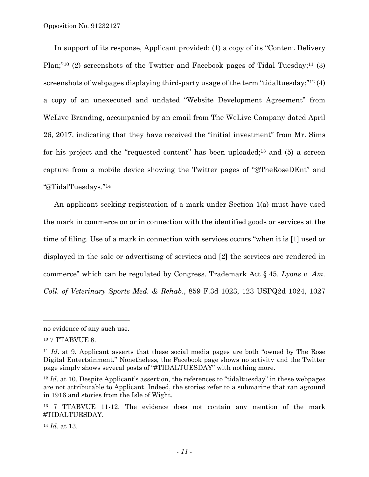Opposition No. 91232127

 In support of its response, Applicant provided: (1) a copy of its "Content Delivery Plan;"<sup>10</sup> (2) screenshots of the Twitter and Facebook pages of Tidal Tuesday;<sup>11</sup> (3) screenshots of webpages displaying third-party usage of the term "tidaltuesday;"12 (4) a copy of an unexecuted and undated "Website Development Agreement" from WeLive Branding, accompanied by an email from The WeLive Company dated April 26, 2017, indicating that they have received the "initial investment" from Mr. Sims for his project and the "requested content" has been uploaded;<sup>13</sup> and (5) a screen capture from a mobile device showing the Twitter pages of "@TheRoseDEnt" and "@TidalTuesdays."14

 An applicant seeking registration of a mark under Section 1(a) must have used the mark in commerce on or in connection with the identified goods or services at the time of filing. Use of a mark in connection with services occurs "when it is [1] used or displayed in the sale or advertising of services and [2] the services are rendered in commerce" which can be regulated by Congress. Trademark Act § 45. *Lyons v. Am. Coll. of Veterinary Sports Med. & Rehab*., 859 F.3d 1023, 123 USPQ2d 1024, 1027

÷.

no evidence of any such use.

<sup>&</sup>lt;sup>10</sup> 7 TTABVUE 8.

<sup>11</sup> *Id*. at 9. Applicant asserts that these social media pages are both "owned by The Rose Digital Entertainment." Nonetheless, the Facebook page shows no activity and the Twitter page simply shows several posts of "#TIDALTUESDAY" with nothing more.

<sup>&</sup>lt;sup>12</sup> *Id.* at 10. Despite Applicant's assertion, the references to "tidaltuesday" in these webpages are not attributable to Applicant. Indeed, the stories refer to a submarine that ran aground in 1916 and stories from the Isle of Wight.

<sup>13 7</sup> TTABVUE 11-12. The evidence does not contain any mention of the mark #TIDALTUESDAY.

<sup>14</sup> *Id*. at 13.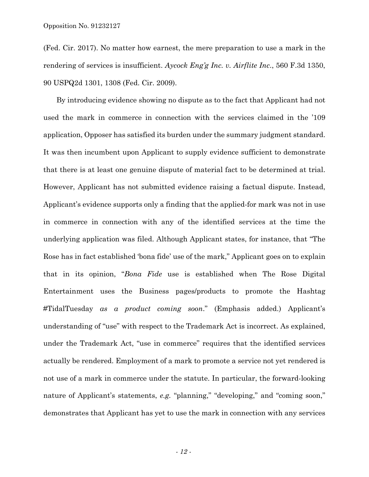(Fed. Cir. 2017). No matter how earnest, the mere preparation to use a mark in the rendering of services is insufficient. *Aycock Eng'g Inc. v. Airflite Inc*., 560 F.3d 1350, 90 USPQ2d 1301, 1308 (Fed. Cir. 2009).

By introducing evidence showing no dispute as to the fact that Applicant had not used the mark in commerce in connection with the services claimed in the '109 application, Opposer has satisfied its burden under the summary judgment standard. It was then incumbent upon Applicant to supply evidence sufficient to demonstrate that there is at least one genuine dispute of material fact to be determined at trial. However, Applicant has not submitted evidence raising a factual dispute. Instead, Applicant's evidence supports only a finding that the applied-for mark was not in use in commerce in connection with any of the identified services at the time the underlying application was filed. Although Applicant states, for instance, that "The Rose has in fact established 'bona fide' use of the mark," Applicant goes on to explain that in its opinion, "*Bona Fide* use is established when The Rose Digital Entertainment uses the Business pages/products to promote the Hashtag #TidalTuesday *as a product coming soon*." (Emphasis added.) Applicant's understanding of "use" with respect to the Trademark Act is incorrect. As explained, under the Trademark Act, "use in commerce" requires that the identified services actually be rendered. Employment of a mark to promote a service not yet rendered is not use of a mark in commerce under the statute. In particular, the forward-looking nature of Applicant's statements, *e.g.* "planning," "developing," and "coming soon," demonstrates that Applicant has yet to use the mark in connection with any services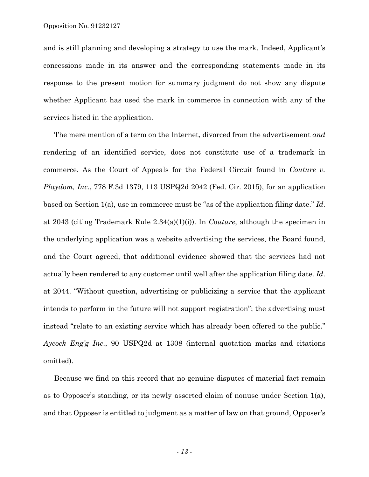and is still planning and developing a strategy to use the mark. Indeed, Applicant's concessions made in its answer and the corresponding statements made in its response to the present motion for summary judgment do not show any dispute whether Applicant has used the mark in commerce in connection with any of the services listed in the application.

 The mere mention of a term on the Internet, divorced from the advertisement *and* rendering of an identified service, does not constitute use of a trademark in commerce. As the Court of Appeals for the Federal Circuit found in *Couture v. Playdom, Inc.*, 778 F.3d 1379, 113 USPQ2d 2042 (Fed. Cir. 2015), for an application based on Section 1(a), use in commerce must be "as of the application filing date." *Id*. at 2043 (citing Trademark Rule 2.34(a)(1)(i)). In *Couture*, although the specimen in the underlying application was a website advertising the services, the Board found, and the Court agreed, that additional evidence showed that the services had not actually been rendered to any customer until well after the application filing date. *Id*. at 2044. "Without question, advertising or publicizing a service that the applicant intends to perform in the future will not support registration"; the advertising must instead "relate to an existing service which has already been offered to the public." *Aycock Eng'g Inc*., 90 USPQ2d at 1308 (internal quotation marks and citations omitted).

 Because we find on this record that no genuine disputes of material fact remain as to Opposer's standing, or its newly asserted claim of nonuse under Section 1(a), and that Opposer is entitled to judgment as a matter of law on that ground, Opposer's

*- 13 -*